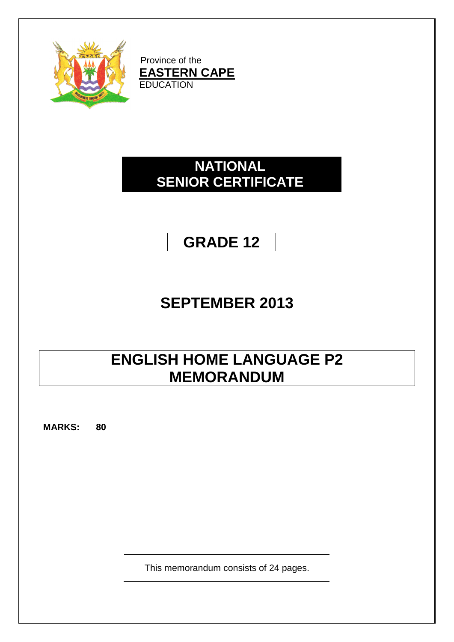

Province of the **EASTERN CAPE EDUCATION** 

# **NATIONAL SENIOR CERTIFICATE**

# **GRADE 12**

# **SEPTEMBER 2013**

# **ENGLISH HOME LANGUAGE P2 MEMORANDUM**

**MARKS: 80**

This memorandum consists of 24 pages.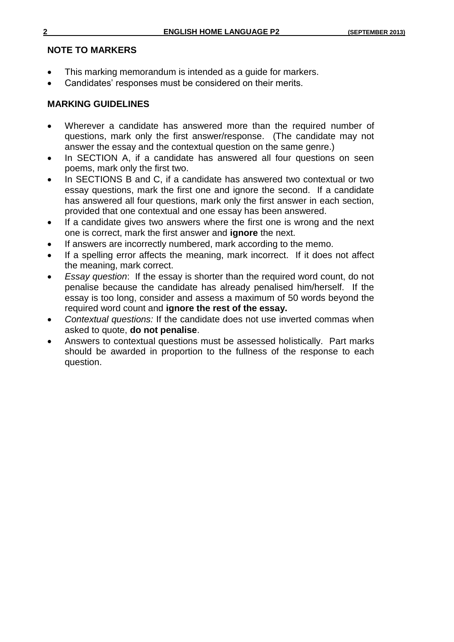## **NOTE TO MARKERS**

- This marking memorandum is intended as a guide for markers.
- Candidates' responses must be considered on their merits.

## **MARKING GUIDELINES**

- Wherever a candidate has answered more than the required number of questions, mark only the first answer/response. (The candidate may not answer the essay and the contextual question on the same genre.)
- In SECTION A, if a candidate has answered all four questions on seen poems, mark only the first two.
- In SECTIONS B and C, if a candidate has answered two contextual or two essay questions, mark the first one and ignore the second. If a candidate has answered all four questions, mark only the first answer in each section, provided that one contextual and one essay has been answered.
- If a candidate gives two answers where the first one is wrong and the next one is correct, mark the first answer and **ignore** the next.
- If answers are incorrectly numbered, mark according to the memo.
- If a spelling error affects the meaning, mark incorrect. If it does not affect the meaning, mark correct.
- *Essay question*: If the essay is shorter than the required word count, do not penalise because the candidate has already penalised him/herself. If the essay is too long, consider and assess a maximum of 50 words beyond the required word count and **ignore the rest of the essay.**
- *Contextual questions:* If the candidate does not use inverted commas when asked to quote, **do not penalise**.
- Answers to contextual questions must be assessed holistically. Part marks should be awarded in proportion to the fullness of the response to each question.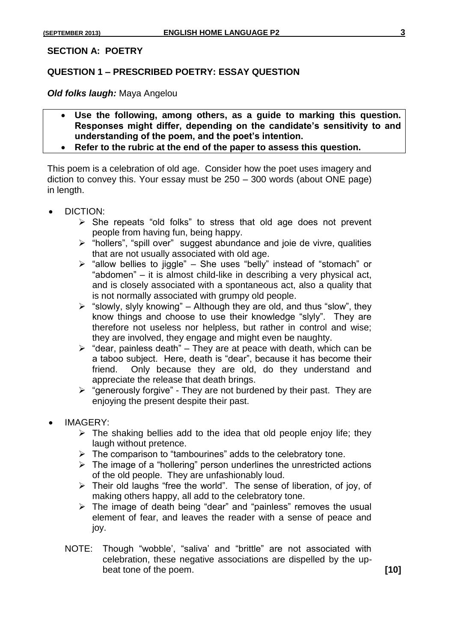#### **SECTION A: POETRY**

### **QUESTION 1 – PRESCRIBED POETRY: ESSAY QUESTION**

*Old folks laugh:* Maya Angelou

- **Use the following, among others, as a guide to marking this question. Responses might differ, depending on the candidate's sensitivity to and understanding of the poem, and the poet's intention.**
- **Refer to the rubric at the end of the paper to assess this question.**

This poem is a celebration of old age. Consider how the poet uses imagery and diction to convey this. Your essay must be 250 – 300 words (about ONE page) in length.

- DICTION:
	- $\triangleright$  She repeats "old folks" to stress that old age does not prevent people from having fun, being happy.
	- > "hollers", "spill over" suggest abundance and joie de vivre, qualities that are not usually associated with old age.
	- $\triangleright$  "allow bellies to jiggle" She uses "belly" instead of "stomach" or "abdomen" – it is almost child-like in describing a very physical act, and is closely associated with a spontaneous act, also a quality that is not normally associated with grumpy old people.
	- $\triangleright$  "slowly, slyly knowing" Although they are old, and thus "slow", they know things and choose to use their knowledge "slyly". They are therefore not useless nor helpless, but rather in control and wise; they are involved, they engage and might even be naughty.
	- $\triangleright$  "dear, painless death" They are at peace with death, which can be a taboo subject. Here, death is "dear", because it has become their friend. Only because they are old, do they understand and appreciate the release that death brings.
	- $\triangleright$  "generously forgive" They are not burdened by their past. They are enjoying the present despite their past.
- IMAGERY:
	- $\triangleright$  The shaking bellies add to the idea that old people enjoy life; they laugh without pretence.
	- $\triangleright$  The comparison to "tambourines" adds to the celebratory tone.
	- $\triangleright$  The image of a "hollering" person underlines the unrestricted actions of the old people. They are unfashionably loud.
	- $\triangleright$  Their old laughs "free the world". The sense of liberation, of joy, of making others happy, all add to the celebratory tone.
	- $\triangleright$  The image of death being "dear" and "painless" removes the usual element of fear, and leaves the reader with a sense of peace and joy.
	- NOTE: Though "wobble', "saliva' and "brittle" are not associated with celebration, these negative associations are dispelled by the upbeat tone of the poem. **[10]**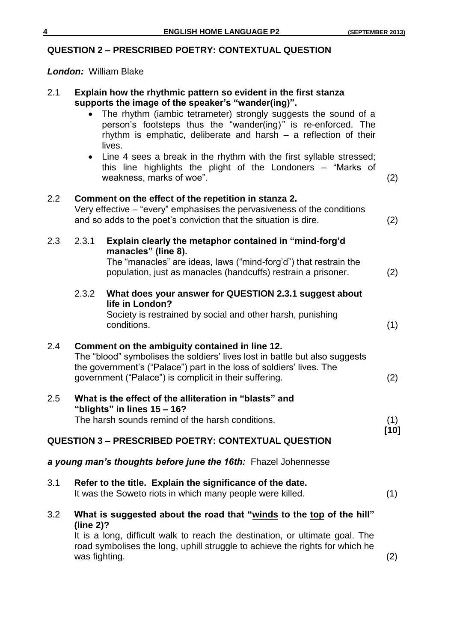## **QUESTION 2 – PRESCRIBED POETRY: CONTEXTUAL QUESTION**

*London:* William Blake

| 2.1 |           | Explain how the rhythmic pattern so evident in the first stanza<br>supports the image of the speaker's "wander(ing)".<br>The rhythm (iambic tetrameter) strongly suggests the sound of a<br>person's footsteps thus the "wander(ing)" is re-enforced. The<br>rhythm is emphatic, deliberate and harsh $-$ a reflection of their<br>lives. |        |
|-----|-----------|-------------------------------------------------------------------------------------------------------------------------------------------------------------------------------------------------------------------------------------------------------------------------------------------------------------------------------------------|--------|
|     |           | • Line 4 sees a break in the rhythm with the first syllable stressed;<br>this line highlights the plight of the Londoners - "Marks of<br>weakness, marks of woe".                                                                                                                                                                         | (2)    |
| 2.2 |           | Comment on the effect of the repetition in stanza 2.<br>Very effective – "every" emphasises the pervasiveness of the conditions<br>and so adds to the poet's conviction that the situation is dire.                                                                                                                                       | (2)    |
| 2.3 | 2.3.1     | Explain clearly the metaphor contained in "mind-forg'd<br>manacles" (line 8).<br>The "manacles" are ideas, laws ("mind-forg'd") that restrain the<br>population, just as manacles (handcuffs) restrain a prisoner.                                                                                                                        | (2)    |
|     | 2.3.2     | What does your answer for QUESTION 2.3.1 suggest about<br>life in London?<br>Society is restrained by social and other harsh, punishing<br>conditions.                                                                                                                                                                                    | (1)    |
| 2.4 |           | Comment on the ambiguity contained in line 12.<br>The "blood" symbolises the soldiers' lives lost in battle but also suggests<br>the government's ("Palace") part in the loss of soldiers' lives. The<br>government ("Palace") is complicit in their suffering.                                                                           | (2)    |
| 2.5 |           | What is the effect of the alliteration in "blasts" and<br>"blights" in lines $15 - 16$ ?<br>The harsh sounds remind of the harsh conditions.                                                                                                                                                                                              | (1)    |
|     |           | <b>QUESTION 3 - PRESCRIBED POETRY: CONTEXTUAL QUESTION</b>                                                                                                                                                                                                                                                                                | $[10]$ |
|     |           | a young man's thoughts before june the 16th: Fhazel Johennesse                                                                                                                                                                                                                                                                            |        |
| 3.1 |           | Refer to the title. Explain the significance of the date.<br>It was the Soweto riots in which many people were killed.                                                                                                                                                                                                                    | (1)    |
| 3.2 | (line 2)? | What is suggested about the road that "winds to the top of the hill"<br>It is a long, difficult walk to reach the destination, or ultimate goal. The<br>road symbolises the long, uphill struggle to achieve the rights for which he<br>was fighting.                                                                                     | (2)    |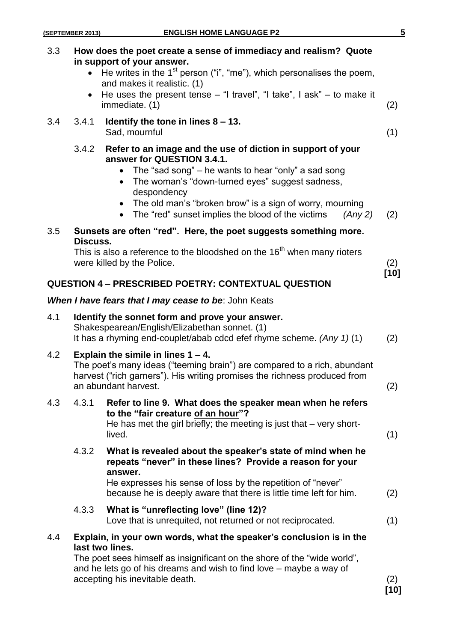| 3.3 | How does the poet create a sense of immediacy and realism? Quote<br>in support of your answer.<br>He writes in the $1st$ person ("i", "me"), which personalises the poem,<br>and makes it realistic. (1)<br>He uses the present tense $-$ "I travel", "I take", I ask" $-$ to make it<br>immediate. (1)                                                                                        | (2)    |
|-----|------------------------------------------------------------------------------------------------------------------------------------------------------------------------------------------------------------------------------------------------------------------------------------------------------------------------------------------------------------------------------------------------|--------|
| 3.4 | 3.4.1<br>Identify the tone in lines $8 - 13$ .<br>Sad, mournful                                                                                                                                                                                                                                                                                                                                | (1)    |
|     | Refer to an image and the use of diction in support of your<br>3.4.2<br>answer for QUESTION 3.4.1.<br>The "sad song" – he wants to hear "only" a sad song<br>$\bullet$<br>The woman's "down-turned eyes" suggest sadness,<br>$\bullet$<br>despondency<br>The old man's "broken brow" is a sign of worry, mourning<br>$\bullet$<br>The "red" sunset implies the blood of the victims<br>(Any 2) | (2)    |
| 3.5 | Sunsets are often "red". Here, the poet suggests something more.                                                                                                                                                                                                                                                                                                                               |        |
|     | Discuss.<br>This is also a reference to the bloodshed on the 16 <sup>th</sup> when many rioters<br>were killed by the Police.                                                                                                                                                                                                                                                                  | (2)    |
|     | <b>QUESTION 4 - PRESCRIBED POETRY: CONTEXTUAL QUESTION</b>                                                                                                                                                                                                                                                                                                                                     | $[10]$ |
|     | When I have fears that I may cease to be: John Keats                                                                                                                                                                                                                                                                                                                                           |        |
| 4.1 | Identify the sonnet form and prove your answer.<br>Shakespearean/English/Elizabethan sonnet. (1)<br>It has a rhyming end-couplet/abab cdcd efef rhyme scheme. $(Any 1)(1)$                                                                                                                                                                                                                     | (2)    |
| 4.2 | Explain the simile in lines $1 - 4$ .<br>The poet's many ideas ("teeming brain") are compared to a rich, abundant<br>harvest ("rich garners"). His writing promises the richness produced from<br>an abundant harvest.                                                                                                                                                                         | (2)    |
| 4.3 | 4.3.1<br>Refer to line 9. What does the speaker mean when he refers<br>to the "fair creature of an hour"?<br>He has met the girl briefly; the meeting is just that $-$ very short-<br>lived.                                                                                                                                                                                                   | (1)    |
|     | 4.3.2<br>What is revealed about the speaker's state of mind when he<br>repeats "never" in these lines? Provide a reason for your<br>answer.<br>He expresses his sense of loss by the repetition of "never"<br>because he is deeply aware that there is little time left for him.                                                                                                               | (2)    |
|     | What is "unreflecting love" (line 12)?<br>4.3.3<br>Love that is unrequited, not returned or not reciprocated.                                                                                                                                                                                                                                                                                  | (1)    |
| 4.4 | Explain, in your own words, what the speaker's conclusion is in the<br>last two lines.<br>The poet sees himself as insignificant on the shore of the "wide world",<br>and he lets go of his dreams and wish to find love - maybe a way of<br>accepting his inevitable death.                                                                                                                   | (2)    |

**[10]**

## **(SEPTEMBER 2013) ENGLISH HOME LANGUAGE P2 5**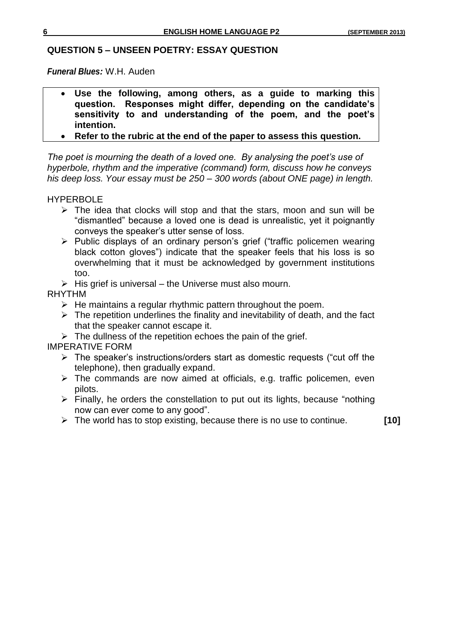## **QUESTION 5 – UNSEEN POETRY: ESSAY QUESTION**

*Funeral Blues:* W.H. Auden

- **Use the following, among others, as a guide to marking this question. Responses might differ, depending on the candidate's sensitivity to and understanding of the poem, and the poet's intention.**
- **Refer to the rubric at the end of the paper to assess this question.**

*The poet is mourning the death of a loved one. By analysing the poet's use of hyperbole, rhythm and the imperative (command) form, discuss how he conveys his deep loss. Your essay must be 250 – 300 words (about ONE page) in length.*

HYPERBOLE

- $\triangleright$  The idea that clocks will stop and that the stars, moon and sun will be "dismantled" because a loved one is dead is unrealistic, yet it poignantly conveys the speaker's utter sense of loss.
- $\triangleright$  Public displays of an ordinary person's grief ("traffic policemen wearing black cotton gloves") indicate that the speaker feels that his loss is so overwhelming that it must be acknowledged by government institutions too.
- $\triangleright$  His grief is universal the Universe must also mourn.

RHYTHM

- $\triangleright$  He maintains a regular rhythmic pattern throughout the poem.
- $\triangleright$  The repetition underlines the finality and inevitability of death, and the fact that the speaker cannot escape it.
- $\triangleright$  The dullness of the repetition echoes the pain of the grief.

IMPERATIVE FORM

- $\triangleright$  The speaker's instructions/orders start as domestic requests ("cut off the telephone), then gradually expand.
- $\triangleright$  The commands are now aimed at officials, e.g. traffic policemen, even pilots.
- $\triangleright$  Finally, he orders the constellation to put out its lights, because "nothing" now can ever come to any good".
- The world has to stop existing, because there is no use to continue. **[10]**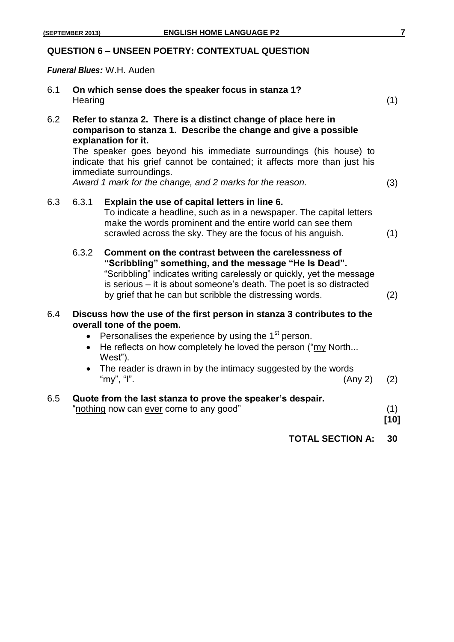## **QUESTION 6 – UNSEEN POETRY: CONTEXTUAL QUESTION**

*Funeral Blues:* W.H. Auden

| 6.1 | Hearing                | On which sense does the speaker focus in stanza 1?                                                                                                                                                                                                                                                                                                                                                 | (1)           |
|-----|------------------------|----------------------------------------------------------------------------------------------------------------------------------------------------------------------------------------------------------------------------------------------------------------------------------------------------------------------------------------------------------------------------------------------------|---------------|
| 6.2 |                        | Refer to stanza 2. There is a distinct change of place here in<br>comparison to stanza 1. Describe the change and give a possible<br>explanation for it.<br>The speaker goes beyond his immediate surroundings (his house) to<br>indicate that his grief cannot be contained; it affects more than just his<br>immediate surroundings.<br>Award 1 mark for the change, and 2 marks for the reason. | (3)           |
| 6.3 | 6.3.1                  | Explain the use of capital letters in line 6.<br>To indicate a headline, such as in a newspaper. The capital letters<br>make the words prominent and the entire world can see them<br>scrawled across the sky. They are the focus of his anguish.                                                                                                                                                  | (1)           |
|     | 6.3.2                  | Comment on the contrast between the carelessness of<br>"Scribbling" something, and the message "He Is Dead".<br>"Scribbling" indicates writing carelessly or quickly, yet the message<br>is serious - it is about someone's death. The poet is so distracted<br>by grief that he can but scribble the distressing words.                                                                           | (2)           |
| 6.4 | $\bullet$<br>$\bullet$ | Discuss how the use of the first person in stanza 3 contributes to the<br>overall tone of the poem.<br>Personalises the experience by using the 1 <sup>st</sup> person.<br>He reflects on how completely he loved the person ("my North<br>West").<br>The reader is drawn in by the intimacy suggested by the words<br>"my", "I".<br>(Any 2)                                                       | (2)           |
| 6.5 |                        | Quote from the last stanza to prove the speaker's despair.<br>"nothing now can ever come to any good"                                                                                                                                                                                                                                                                                              | (1)<br>$[10]$ |
|     |                        | <b>TOTAL SECTION A:</b>                                                                                                                                                                                                                                                                                                                                                                            | 30            |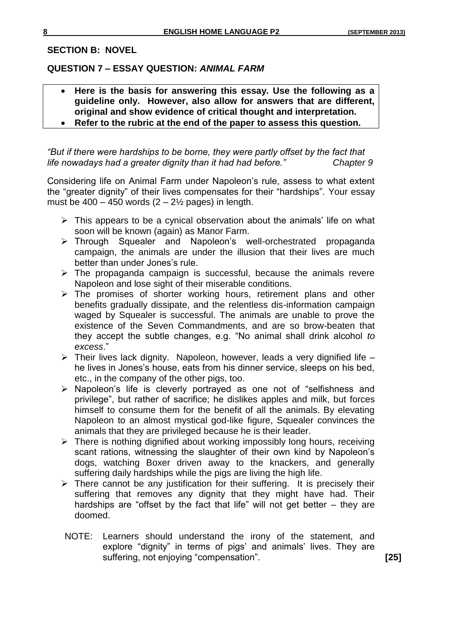#### **SECTION B: NOVEL**

#### **QUESTION 7 – ESSAY QUESTION:** *ANIMAL FARM*

- **Here is the basis for answering this essay. Use the following as a guideline only. However, also allow for answers that are different, original and show evidence of critical thought and interpretation.**
- **Refer to the rubric at the end of the paper to assess this question.**

*"But if there were hardships to be borne, they were partly offset by the fact that life nowadays had a greater dignity than it had had before." Chapter 9*

Considering life on Animal Farm under Napoleon's rule, assess to what extent the "greater dignity" of their lives compensates for their "hardships". Your essay must be  $400 - 450$  words  $(2 - 2\frac{1}{2})$  pages) in length.

- $\triangleright$  This appears to be a cynical observation about the animals' life on what soon will be known (again) as Manor Farm.
- > Through Squealer and Napoleon's well-orchestrated propaganda campaign, the animals are under the illusion that their lives are much better than under Jones's rule.
- $\triangleright$  The propaganda campaign is successful, because the animals revere Napoleon and lose sight of their miserable conditions.
- $\triangleright$  The promises of shorter working hours, retirement plans and other benefits gradually dissipate, and the relentless dis-information campaign waged by Squealer is successful. The animals are unable to prove the existence of the Seven Commandments, and are so brow-beaten that they accept the subtle changes, e.g. "No animal shall drink alcohol *to excess*."
- $\triangleright$  Their lives lack dignity. Napoleon, however, leads a very dignified life he lives in Jones's house, eats from his dinner service, sleeps on his bed, etc., in the company of the other pigs, too.
- $\triangleright$  Napoleon's life is cleverly portrayed as one not of "selfishness and privilege", but rather of sacrifice; he dislikes apples and milk, but forces himself to consume them for the benefit of all the animals. By elevating Napoleon to an almost mystical god-like figure, Squealer convinces the animals that they are privileged because he is their leader.
- $\triangleright$  There is nothing dignified about working impossibly long hours, receiving scant rations, witnessing the slaughter of their own kind by Napoleon's dogs, watching Boxer driven away to the knackers, and generally suffering daily hardships while the pigs are living the high life.
- $\triangleright$  There cannot be any justification for their suffering. It is precisely their suffering that removes any dignity that they might have had. Their hardships are "offset by the fact that life" will not get better – they are doomed.
- NOTE: Learners should understand the irony of the statement, and explore "dignity" in terms of pigs' and animals' lives. They are suffering, not enjoying "compensation". **[25]**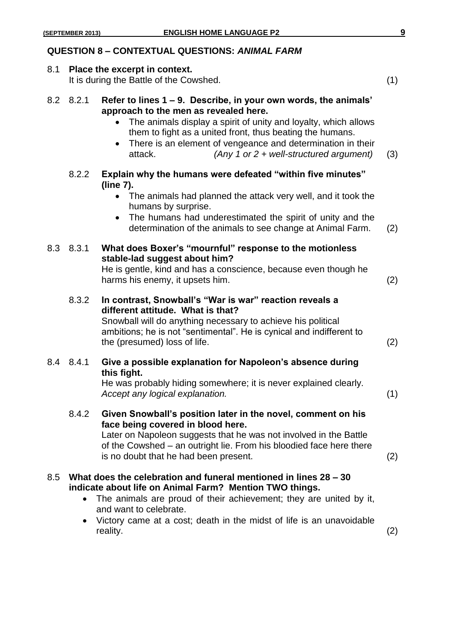#### **QUESTION 8 – CONTEXTUAL QUESTIONS:** *ANIMAL FARM*

#### 8.1 **Place the excerpt in context.**

It is during the Battle of the Cowshed. (1)

|  | 8.2 8.2.1 Refer to lines 1 – 9. Describe, in your own words, the animals' |
|--|---------------------------------------------------------------------------|
|  | approach to the men as revealed here.                                     |

- The animals display a spirit of unity and loyalty, which allows them to fight as a united front, thus beating the humans.
- There is an element of vengeance and determination in their attack. *(Any 1 or 2 + well-structured argument)* (3)
- 8.2.2 **Explain why the humans were defeated "within five minutes" (line 7).**
	- The animals had planned the attack very well, and it took the humans by surprise.
	- The humans had underestimated the spirit of unity and the determination of the animals to see change at Animal Farm. (2)

#### 8.3 8.3.1 **What does Boxer's "mournful" response to the motionless stable-lad suggest about him?**

He is gentle, kind and has a conscience, because even though he harms his enemy, it upsets him. (2)

8.3.2 **In contrast, Snowball's "War is war" reaction reveals a different attitude. What is that?**

Snowball will do anything necessary to achieve his political ambitions; he is not "sentimental". He is cynical and indifferent to the (presumed) loss of life. (2)

## 8.4 8.4.1 **Give a possible explanation for Napoleon's absence during this fight.**

He was probably hiding somewhere; it is never explained clearly. *Accept any logical explanation.* (1)

8.4.2 **Given Snowball's position later in the novel, comment on his face being covered in blood here.**

Later on Napoleon suggests that he was not involved in the Battle of the Cowshed – an outright lie. From his bloodied face here there is no doubt that he had been present. (2)

### 8.5 **What does the celebration and funeral mentioned in lines 28 – 30 indicate about life on Animal Farm? Mention TWO things.**

- The animals are proud of their achievement; they are united by it, and want to celebrate.
- Victory came at a cost; death in the midst of life is an unavoidable reality. (2)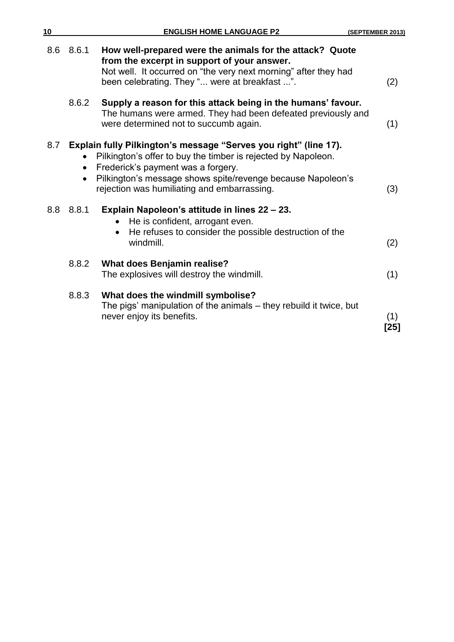| 10  |           | <b>ENGLISH HOME LANGUAGE P2</b>                                                                                                                                                                                                                                                       | (SEPTEMBER 2013) |
|-----|-----------|---------------------------------------------------------------------------------------------------------------------------------------------------------------------------------------------------------------------------------------------------------------------------------------|------------------|
|     | 8.6 8.6.1 | How well-prepared were the animals for the attack? Quote<br>from the excerpt in support of your answer.<br>Not well. It occurred on "the very next morning" after they had<br>been celebrating. They " were at breakfast ".                                                           | (2)              |
|     | 8.6.2     | Supply a reason for this attack being in the humans' favour.<br>The humans were armed. They had been defeated previously and<br>were determined not to succumb again.                                                                                                                 | (1)              |
| 8.7 |           | Explain fully Pilkington's message "Serves you right" (line 17).<br>Pilkington's offer to buy the timber is rejected by Napoleon.<br>Frederick's payment was a forgery.<br>Pilkington's message shows spite/revenge because Napoleon's<br>rejection was humiliating and embarrassing. | (3)              |
| 8.8 | 8.8.1     | Explain Napoleon's attitude in lines 22 – 23.<br>He is confident, arrogant even.<br>He refuses to consider the possible destruction of the<br>$\bullet$<br>windmill.                                                                                                                  | (2)              |
|     | 8.8.2     | <b>What does Benjamin realise?</b><br>The explosives will destroy the windmill.                                                                                                                                                                                                       | (1)              |
|     | 8.8.3     | What does the windmill symbolise?<br>The pigs' manipulation of the animals – they rebuild it twice, but<br>never enjoy its benefits.                                                                                                                                                  | (1)<br>$[25]$    |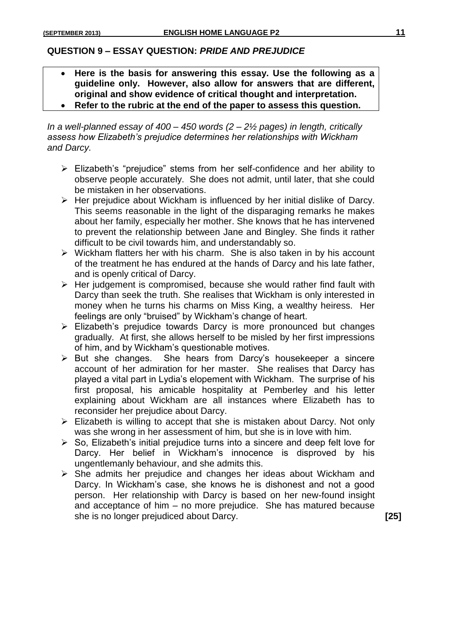### **QUESTION 9 – ESSAY QUESTION:** *PRIDE AND PREJUDICE*

- **Here is the basis for answering this essay. Use the following as a guideline only. However, also allow for answers that are different, original and show evidence of critical thought and interpretation.**
- **Refer to the rubric at the end of the paper to assess this question.**

*In a well-planned essay of 400 – 450 words (2 – 2½ pages) in length, critically assess how Elizabeth's prejudice determines her relationships with Wickham and Darcy.*

- Elizabeth's "prejudice" stems from her self-confidence and her ability to observe people accurately. She does not admit, until later, that she could be mistaken in her observations.
- $\triangleright$  Her prejudice about Wickham is influenced by her initial dislike of Darcy. This seems reasonable in the light of the disparaging remarks he makes about her family, especially her mother. She knows that he has intervened to prevent the relationship between Jane and Bingley. She finds it rather difficult to be civil towards him, and understandably so.
- $\triangleright$  Wickham flatters her with his charm. She is also taken in by his account of the treatment he has endured at the hands of Darcy and his late father, and is openly critical of Darcy.
- $\triangleright$  Her judgement is compromised, because she would rather find fault with Darcy than seek the truth. She realises that Wickham is only interested in money when he turns his charms on Miss King, a wealthy heiress. Her feelings are only "bruised" by Wickham's change of heart.
- Elizabeth's prejudice towards Darcy is more pronounced but changes gradually. At first, she allows herself to be misled by her first impressions of him, and by Wickham's questionable motives.
- $\triangleright$  But she changes. She hears from Darcy's housekeeper a sincere account of her admiration for her master. She realises that Darcy has played a vital part in Lydia's elopement with Wickham. The surprise of his first proposal, his amicable hospitality at Pemberley and his letter explaining about Wickham are all instances where Elizabeth has to reconsider her prejudice about Darcy.
- $\triangleright$  Elizabeth is willing to accept that she is mistaken about Darcy. Not only was she wrong in her assessment of him, but she is in love with him.
- $\triangleright$  So, Elizabeth's initial prejudice turns into a sincere and deep felt love for Darcy. Her belief in Wickham's innocence is disproved by his ungentlemanly behaviour, and she admits this.
- $\triangleright$  She admits her prejudice and changes her ideas about Wickham and Darcy. In Wickham's case, she knows he is dishonest and not a good person. Her relationship with Darcy is based on her new-found insight and acceptance of him – no more prejudice. She has matured because she is no longer prejudiced about Darcy. **[25]**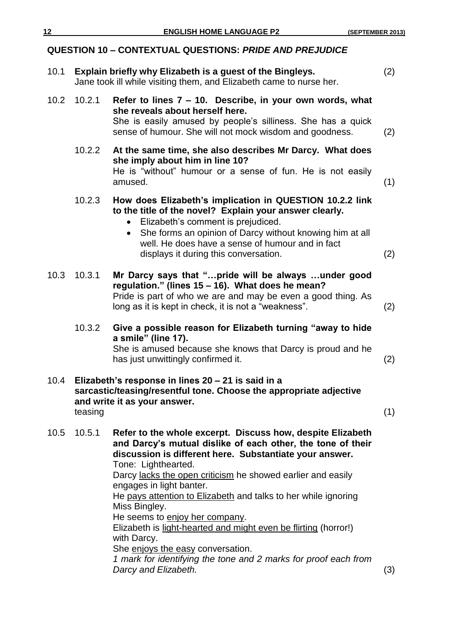|      |         | <b>QUESTION 10 - CONTEXTUAL QUESTIONS: PRIDE AND PREJUDICE</b>                                                                                                                                                                                                                                                                                                                                                                                                                                                                                     |     |
|------|---------|----------------------------------------------------------------------------------------------------------------------------------------------------------------------------------------------------------------------------------------------------------------------------------------------------------------------------------------------------------------------------------------------------------------------------------------------------------------------------------------------------------------------------------------------------|-----|
| 10.1 |         | Explain briefly why Elizabeth is a guest of the Bingleys.<br>Jane took ill while visiting them, and Elizabeth came to nurse her.                                                                                                                                                                                                                                                                                                                                                                                                                   | (2) |
| 10.2 | 10.2.1  | Refer to lines 7 - 10. Describe, in your own words, what<br>she reveals about herself here.<br>She is easily amused by people's silliness. She has a quick<br>sense of humour. She will not mock wisdom and goodness.                                                                                                                                                                                                                                                                                                                              | (2) |
|      | 10.2.2  | At the same time, she also describes Mr Darcy. What does<br>she imply about him in line 10?<br>He is "without" humour or a sense of fun. He is not easily<br>amused.                                                                                                                                                                                                                                                                                                                                                                               | (1) |
|      | 10.2.3  | How does Elizabeth's implication in QUESTION 10.2.2 link<br>to the title of the novel? Explain your answer clearly.<br>• Elizabeth's comment is prejudiced.<br>She forms an opinion of Darcy without knowing him at all<br>$\bullet$<br>well. He does have a sense of humour and in fact<br>displays it during this conversation.                                                                                                                                                                                                                  | (2) |
| 10.3 | 10.3.1  | Mr Darcy says that "pride will be always under good<br>regulation." (lines 15 - 16). What does he mean?<br>Pride is part of who we are and may be even a good thing. As<br>long as it is kept in check, it is not a "weakness".                                                                                                                                                                                                                                                                                                                    | (2) |
|      | 10.3.2  | Give a possible reason for Elizabeth turning "away to hide<br>a smile" (line 17).<br>She is amused because she knows that Darcy is proud and he<br>has just unwittingly confirmed it.                                                                                                                                                                                                                                                                                                                                                              | (2) |
| 10.4 | teasing | Elizabeth's response in lines 20 - 21 is said in a<br>sarcastic/teasing/resentful tone. Choose the appropriate adjective<br>and write it as your answer.                                                                                                                                                                                                                                                                                                                                                                                           | (1) |
| 10.5 | 10.5.1  | Refer to the whole excerpt. Discuss how, despite Elizabeth<br>and Darcy's mutual dislike of each other, the tone of their<br>discussion is different here. Substantiate your answer.<br>Tone: Lighthearted.<br>Darcy lacks the open criticism he showed earlier and easily<br>engages in light banter.<br>He pays attention to Elizabeth and talks to her while ignoring<br>Miss Bingley.<br>He seems to enjoy her company.<br>Elizabeth is light-hearted and might even be flirting (horror!)<br>with Darcy.<br>She enjoys the easy conversation. |     |

*1 mark for identifying the tone and 2 marks for proof each from Darcy and Elizabeth.* (3)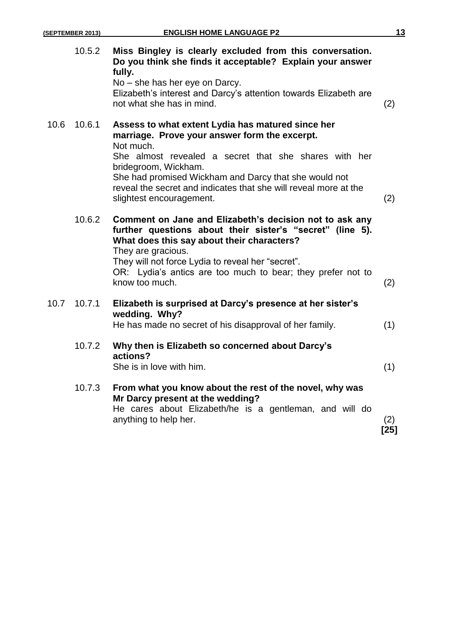| (SEPTEMBER 2013) |
|------------------|
|------------------|

|      | 10.5.2 | Miss Bingley is clearly excluded from this conversation.<br>Do you think she finds it acceptable? Explain your answer<br>fully.<br>No – she has her eye on Darcy.<br>Elizabeth's interest and Darcy's attention towards Elizabeth are<br>not what she has in mind.                                                                                        | (2)           |
|------|--------|-----------------------------------------------------------------------------------------------------------------------------------------------------------------------------------------------------------------------------------------------------------------------------------------------------------------------------------------------------------|---------------|
| 10.6 | 10.6.1 | Assess to what extent Lydia has matured since her<br>marriage. Prove your answer form the excerpt.<br>Not much.<br>She almost revealed a secret that she shares with her<br>bridegroom, Wickham.<br>She had promised Wickham and Darcy that she would not<br>reveal the secret and indicates that she will reveal more at the<br>slightest encouragement. | (2)           |
|      | 10.6.2 | Comment on Jane and Elizabeth's decision not to ask any<br>further questions about their sister's "secret" (line 5).<br>What does this say about their characters?<br>They are gracious.<br>They will not force Lydia to reveal her "secret".<br>OR: Lydia's antics are too much to bear; they prefer not to<br>know too much.                            | (2)           |
| 10.7 | 10.7.1 | Elizabeth is surprised at Darcy's presence at her sister's<br>wedding. Why?<br>He has made no secret of his disapproval of her family.                                                                                                                                                                                                                    | (1)           |
|      | 10.7.2 | Why then is Elizabeth so concerned about Darcy's<br>actions?<br>She is in love with him.                                                                                                                                                                                                                                                                  | (1)           |
|      | 10.7.3 | From what you know about the rest of the novel, why was<br>Mr Darcy present at the wedding?<br>He cares about Elizabeth/he is a gentleman, and will do<br>anything to help her.                                                                                                                                                                           | (2)<br>$[25]$ |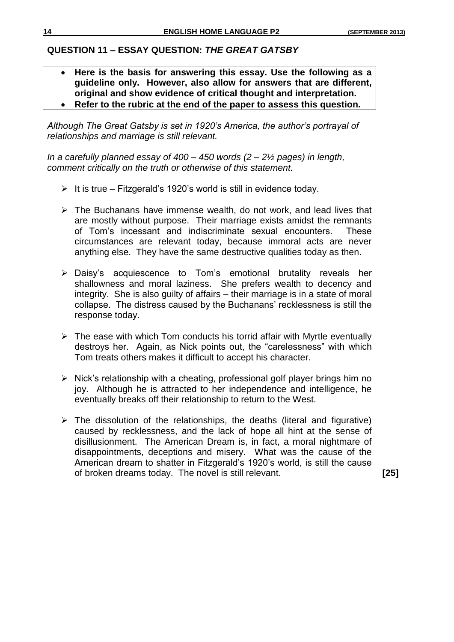## **QUESTION 11 – ESSAY QUESTION:** *THE GREAT GATSBY*

- **Here is the basis for answering this essay. Use the following as a guideline only. However, also allow for answers that are different, original and show evidence of critical thought and interpretation.**
- **Refer to the rubric at the end of the paper to assess this question.**

*Although The Great Gatsby is set in 1920's America, the author's portrayal of relationships and marriage is still relevant.*

*In a carefully planned essay of 400 – 450 words (2 – 2½ pages) in length, comment critically on the truth or otherwise of this statement.*

- $\triangleright$  It is true Fitzgerald's 1920's world is still in evidence today.
- $\triangleright$  The Buchanans have immense wealth, do not work, and lead lives that are mostly without purpose. Their marriage exists amidst the remnants of Tom's incessant and indiscriminate sexual encounters. These circumstances are relevant today, because immoral acts are never anything else. They have the same destructive qualities today as then.
- Daisy's acquiescence to Tom's emotional brutality reveals her shallowness and moral laziness. She prefers wealth to decency and integrity. She is also guilty of affairs – their marriage is in a state of moral collapse. The distress caused by the Buchanans' recklessness is still the response today.
- $\triangleright$  The ease with which Tom conducts his torrid affair with Myrtle eventually destroys her. Again, as Nick points out, the "carelessness" with which Tom treats others makes it difficult to accept his character.
- $\triangleright$  Nick's relationship with a cheating, professional golf player brings him no joy. Although he is attracted to her independence and intelligence, he eventually breaks off their relationship to return to the West.
- $\triangleright$  The dissolution of the relationships, the deaths (literal and figurative) caused by recklessness, and the lack of hope all hint at the sense of disillusionment. The American Dream is, in fact, a moral nightmare of disappointments, deceptions and misery. What was the cause of the American dream to shatter in Fitzgerald's 1920's world, is still the cause of broken dreams today. The novel is still relevant. **[25]**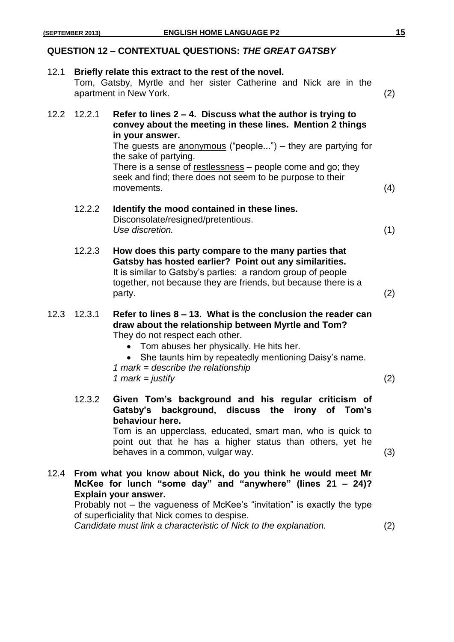## **QUESTION 12 – CONTEXTUAL QUESTIONS:** *THE GREAT GATSBY*

| 12.1 | Briefly relate this extract to the rest of the novel.<br>Tom, Gatsby, Myrtle and her sister Catherine and Nick are in the<br>apartment in New York. |                                                                                                                                                                                                                                                                                                                                                                                 | (2) |
|------|-----------------------------------------------------------------------------------------------------------------------------------------------------|---------------------------------------------------------------------------------------------------------------------------------------------------------------------------------------------------------------------------------------------------------------------------------------------------------------------------------------------------------------------------------|-----|
| 12.2 | 12.2.1                                                                                                                                              | Refer to lines $2 - 4$ . Discuss what the author is trying to<br>convey about the meeting in these lines. Mention 2 things<br>in your answer.<br>The guests are anonymous ("people") – they are partying for<br>the sake of partying.<br>There is a sense of restlessness - people come and go; they<br>seek and find; there does not seem to be purpose to their<br>movements. | (4) |
|      | 12.2.2                                                                                                                                              | Identify the mood contained in these lines.<br>Disconsolate/resigned/pretentious.<br>Use discretion.                                                                                                                                                                                                                                                                            | (1) |
|      | 12.2.3                                                                                                                                              | How does this party compare to the many parties that<br>Gatsby has hosted earlier? Point out any similarities.<br>It is similar to Gatsby's parties: a random group of people<br>together, not because they are friends, but because there is a<br>party.                                                                                                                       | (2) |
| 12.3 | 12.3.1                                                                                                                                              | Refer to lines $8 - 13$ . What is the conclusion the reader can<br>draw about the relationship between Myrtle and Tom?<br>They do not respect each other.<br>Tom abuses her physically. He hits her.<br>She taunts him by repeatedly mentioning Daisy's name.<br>1 mark = describe the relationship<br>1 mark = justify                                                         | (2) |
|      | 12.3.2                                                                                                                                              | Given Tom's background and his regular criticism of<br>Gatsby's background, discuss the irony of Tom's<br>behaviour here.<br>Tom is an upperclass, educated, smart man, who is quick to<br>point out that he has a higher status than others, yet he<br>behaves in a common, vulgar way.                                                                                        | (3) |
| 12.4 |                                                                                                                                                     | From what you know about Nick, do you think he would meet Mr<br>McKee for lunch "some day" and "anywhere" (lines 21 - 24)?<br>Explain your answer.<br>Probably not – the vagueness of McKee's "invitation" is exactly the type<br>of superficiality that Nick comes to despise.                                                                                                 |     |
|      |                                                                                                                                                     | Candidate must link a characteristic of Nick to the explanation.                                                                                                                                                                                                                                                                                                                | (2) |
|      |                                                                                                                                                     |                                                                                                                                                                                                                                                                                                                                                                                 |     |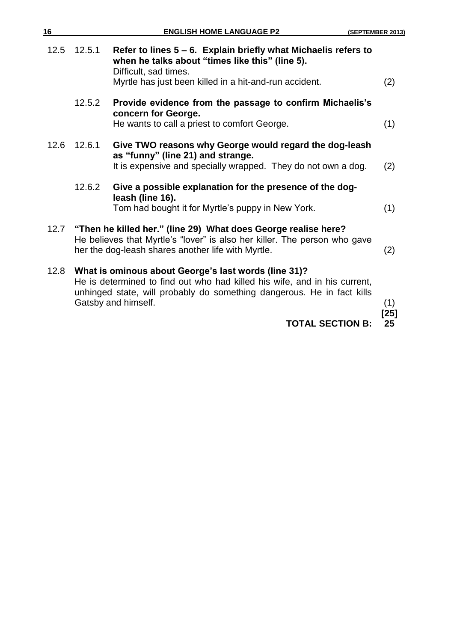| 16   |        | <b>ENGLISH HOME LANGUAGE P2</b>                                                                                                                                                                                                    | (SEPTEMBER 2013) |
|------|--------|------------------------------------------------------------------------------------------------------------------------------------------------------------------------------------------------------------------------------------|------------------|
| 12.5 | 12.5.1 | Refer to lines $5 - 6$ . Explain briefly what Michaelis refers to<br>when he talks about "times like this" (line 5).<br>Difficult, sad times.<br>Myrtle has just been killed in a hit-and-run accident.                            | (2)              |
|      | 12.5.2 | Provide evidence from the passage to confirm Michaelis's<br>concern for George.<br>He wants to call a priest to comfort George.                                                                                                    | (1)              |
| 12.6 | 12.6.1 | Give TWO reasons why George would regard the dog-leash<br>as "funny" (line 21) and strange.<br>It is expensive and specially wrapped. They do not own a dog.                                                                       | (2)              |
|      | 12.6.2 | Give a possible explanation for the presence of the dog-<br>leash (line 16).<br>Tom had bought it for Myrtle's puppy in New York.                                                                                                  | (1)              |
| 12.7 |        | "Then he killed her." (line 29) What does George realise here?<br>He believes that Myrtle's "lover" is also her killer. The person who gave<br>her the dog-leash shares another life with Myrtle.                                  | (2)              |
| 12.8 |        | What is ominous about George's last words (line 31)?<br>He is determined to find out who had killed his wife, and in his current,<br>unhinged state, will probably do something dangerous. He in fact kills<br>Gatsby and himself. | (1)<br>[25]      |
|      |        | <b>TOTAL SECTION B:</b>                                                                                                                                                                                                            | 25               |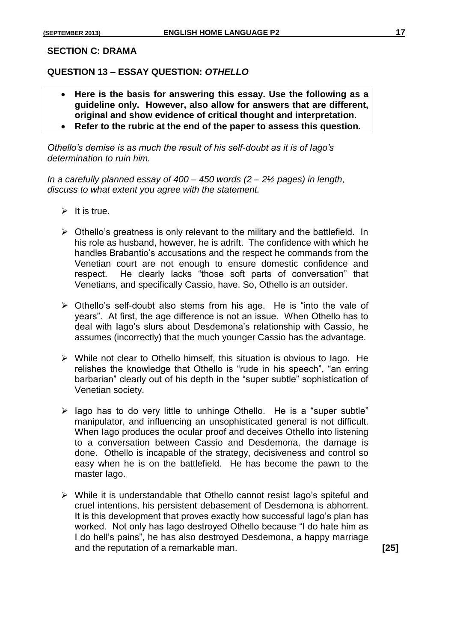#### **SECTION C: DRAMA**

#### **QUESTION 13 – ESSAY QUESTION:** *OTHELLO*

- **Here is the basis for answering this essay. Use the following as a guideline only. However, also allow for answers that are different, original and show evidence of critical thought and interpretation.**
- **Refer to the rubric at the end of the paper to assess this question.**

*Othello's demise is as much the result of his self-doubt as it is of Iago's determination to ruin him.*

*In a carefully planned essay of 400 – 450 words (2 – 2½ pages) in length, discuss to what extent you agree with the statement.*

- $\triangleright$  It is true.
- $\triangleright$  Othello's greatness is only relevant to the military and the battlefield. In his role as husband, however, he is adrift. The confidence with which he handles Brabantio's accusations and the respect he commands from the Venetian court are not enough to ensure domestic confidence and respect. He clearly lacks "those soft parts of conversation" that Venetians, and specifically Cassio, have. So, Othello is an outsider.
- $\triangleright$  Othello's self-doubt also stems from his age. He is "into the vale of years". At first, the age difference is not an issue. When Othello has to deal with Iago's slurs about Desdemona's relationship with Cassio, he assumes (incorrectly) that the much younger Cassio has the advantage.
- $\triangleright$  While not clear to Othello himself, this situation is obvious to lago. He relishes the knowledge that Othello is "rude in his speech", "an erring barbarian" clearly out of his depth in the "super subtle" sophistication of Venetian society.
- $\triangleright$  lago has to do very little to unhinge Othello. He is a "super subtle" manipulator, and influencing an unsophisticated general is not difficult. When Iago produces the ocular proof and deceives Othello into listening to a conversation between Cassio and Desdemona, the damage is done. Othello is incapable of the strategy, decisiveness and control so easy when he is on the battlefield. He has become the pawn to the master Iago.
- While it is understandable that Othello cannot resist Iago's spiteful and cruel intentions, his persistent debasement of Desdemona is abhorrent. It is this development that proves exactly how successful Iago's plan has worked. Not only has Iago destroyed Othello because "I do hate him as I do hell's pains", he has also destroyed Desdemona, a happy marriage and the reputation of a remarkable man. **[25]**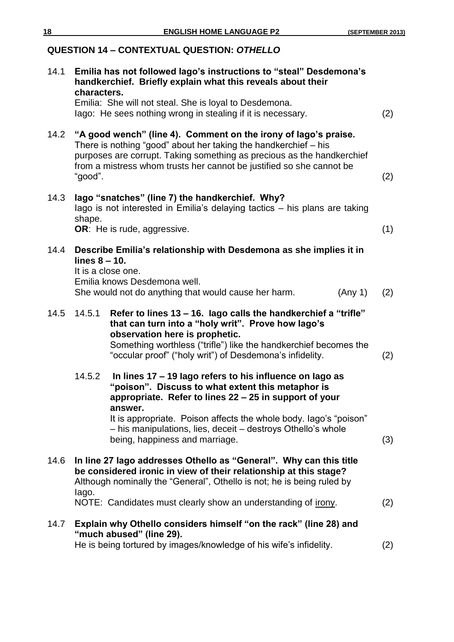# **QUESTION 14 – CONTEXTUAL QUESTION:** *OTHELLO* 14.1 **Emilia has not followed Iago's instructions to "steal" Desdemona's handkerchief. Briefly explain what this reveals about their characters.** Emilia: She will not steal. She is loyal to Desdemona. Iago: He sees nothing wrong in stealing if it is necessary. (2) 14.2 **"A good wench" (line 4). Comment on the irony of Iago's praise.** There is nothing "good" about her taking the handkerchief – his purposes are corrupt. Taking something as precious as the handkerchief from a mistress whom trusts her cannot be justified so she cannot be  $\bullet$  good".  $\hspace{2cm} (2)$ 14.3 **Iago "snatches" (line 7) the handkerchief. Why?** Iago is not interested in Emilia's delaying tactics – his plans are taking shape. **OR**: He is rude, aggressive. (1) 14.4 **Describe Emilia's relationship with Desdemona as she implies it in lines 8 – 10.** It is a close one. Emilia knows Desdemona well. She would not do anything that would cause her harm. (Any 1) (2) 14.5 14.5.1 **Refer to lines 13 – 16. Iago calls the handkerchief a "trifle" that can turn into a "holy writ". Prove how Iago's observation here is prophetic.** Something worthless ("trifle") like the handkerchief becomes the "occular proof" ("holy writ") of Desdemona's infidelity. (2) 14.5.2 **In lines 17 – 19 Iago refers to his influence on Iago as "poison". Discuss to what extent this metaphor is appropriate. Refer to lines 22 – 25 in support of your answer.**  It is appropriate. Poison affects the whole body. Iago's "poison" – his manipulations, lies, deceit – destroys Othello's whole being, happiness and marriage. (3) 14.6 **In line 27 Iago addresses Othello as "General". Why can this title be considered ironic in view of their relationship at this stage?** Although nominally the "General", Othello is not; he is being ruled by Iago. NOTE: Candidates must clearly show an understanding of irony. (2) 14.7 **Explain why Othello considers himself "on the rack" (line 28) and "much abused" (line 29).** He is being tortured by images/knowledge of his wife's infidelity. (2)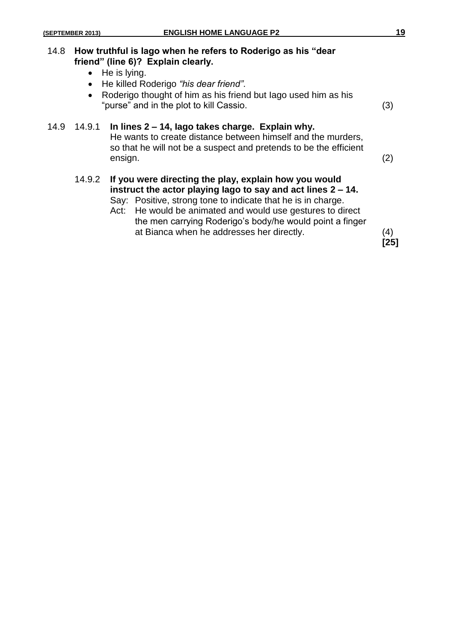| 14.8 | $\bullet$ | How truthful is lago when he refers to Roderigo as his "dear"<br>friend" (line 6)? Explain clearly.<br>$\bullet$ He is lying.<br>• He killed Roderigo "his dear friend".<br>Roderigo thought of him as his friend but lago used him as his<br>"purse" and in the plot to kill Cassio.                                                                           | (3) |
|------|-----------|-----------------------------------------------------------------------------------------------------------------------------------------------------------------------------------------------------------------------------------------------------------------------------------------------------------------------------------------------------------------|-----|
| 14.9 | 14.9.1    | In lines 2 – 14, lago takes charge. Explain why.<br>He wants to create distance between himself and the murders,<br>so that he will not be a suspect and pretends to be the efficient<br>ensign.                                                                                                                                                                | (2) |
|      | 14.9.2    | If you were directing the play, explain how you would<br>instruct the actor playing lago to say and act lines 2 – 14.<br>Say: Positive, strong tone to indicate that he is in charge.<br>He would be animated and would use gestures to direct<br>Act:<br>the men carrying Roderigo's body/he would point a finger<br>at Bianca when he addresses her directly. | (4) |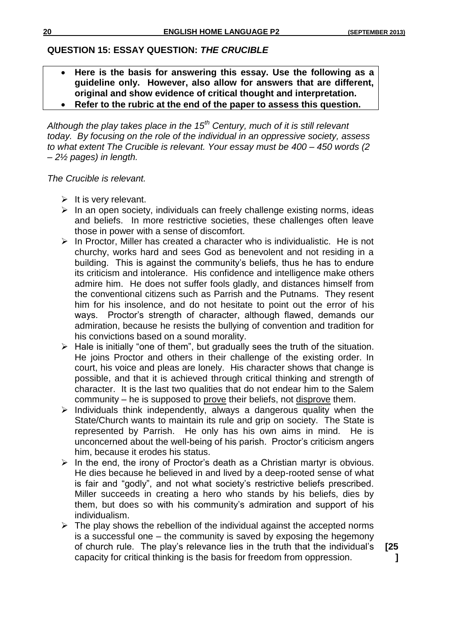**[25 ]**

## **QUESTION 15: ESSAY QUESTION:** *THE CRUCIBLE*

- **Here is the basis for answering this essay. Use the following as a guideline only. However, also allow for answers that are different, original and show evidence of critical thought and interpretation.**
- **Refer to the rubric at the end of the paper to assess this question.**

*Although the play takes place in the 15th Century, much of it is still relevant today. By focusing on the role of the individual in an oppressive society, assess to what extent The Crucible is relevant. Your essay must be 400 – 450 words (2 – 2½ pages) in length.*

*The Crucible is relevant.*

- $\triangleright$  It is very relevant.
- $\triangleright$  In an open society, individuals can freely challenge existing norms, ideas and beliefs. In more restrictive societies, these challenges often leave those in power with a sense of discomfort.
- $\triangleright$  In Proctor, Miller has created a character who is individualistic. He is not churchy, works hard and sees God as benevolent and not residing in a building. This is against the community's beliefs, thus he has to endure its criticism and intolerance. His confidence and intelligence make others admire him. He does not suffer fools gladly, and distances himself from the conventional citizens such as Parrish and the Putnams. They resent him for his insolence, and do not hesitate to point out the error of his ways. Proctor's strength of character, although flawed, demands our admiration, because he resists the bullying of convention and tradition for his convictions based on a sound morality.
- $\triangleright$  Hale is initially "one of them", but gradually sees the truth of the situation. He joins Proctor and others in their challenge of the existing order. In court, his voice and pleas are lonely. His character shows that change is possible, and that it is achieved through critical thinking and strength of character. It is the last two qualities that do not endear him to the Salem community – he is supposed to prove their beliefs, not disprove them.
- $\triangleright$  Individuals think independently, always a dangerous quality when the State/Church wants to maintain its rule and grip on society. The State is represented by Parrish. He only has his own aims in mind. He is unconcerned about the well-being of his parish. Proctor's criticism angers him, because it erodes his status.
- $\triangleright$  In the end, the irony of Proctor's death as a Christian martyr is obvious. He dies because he believed in and lived by a deep-rooted sense of what is fair and "godly", and not what society's restrictive beliefs prescribed. Miller succeeds in creating a hero who stands by his beliefs, dies by them, but does so with his community's admiration and support of his individualism.
- $\triangleright$  The play shows the rebellion of the individual against the accepted norms is a successful one – the community is saved by exposing the hegemony of church rule. The play's relevance lies in the truth that the individual's capacity for critical thinking is the basis for freedom from oppression.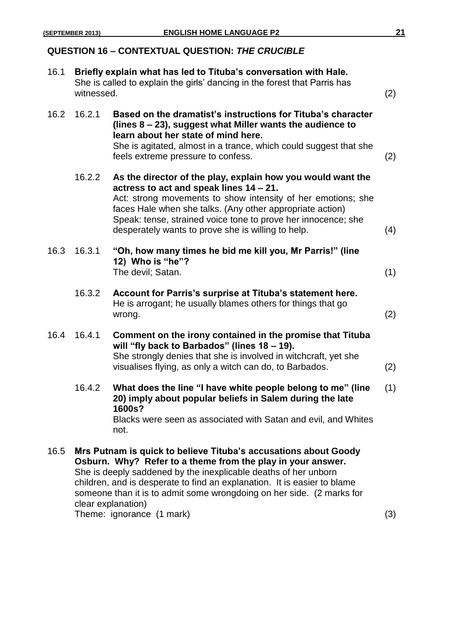## **QUESTION 16 – CONTEXTUAL QUESTION:** *THE CRUCIBLE*

| 16.1 | Briefly explain what has led to Tituba's conversation with Hale.<br>She is called to explain the girls' dancing in the forest that Parris has<br>witnessed. |                                                                                                                                                                                                                                                                                                                                                                              | (2) |
|------|-------------------------------------------------------------------------------------------------------------------------------------------------------------|------------------------------------------------------------------------------------------------------------------------------------------------------------------------------------------------------------------------------------------------------------------------------------------------------------------------------------------------------------------------------|-----|
| 16.2 | 16.2.1                                                                                                                                                      | Based on the dramatist's instructions for Tituba's character<br>(lines $8 - 23$ ), suggest what Miller wants the audience to<br>learn about her state of mind here.<br>She is agitated, almost in a trance, which could suggest that she<br>feels extreme pressure to confess.                                                                                               | (2) |
|      | 16.2.2                                                                                                                                                      | As the director of the play, explain how you would want the<br>actress to act and speak lines 14 – 21.<br>Act: strong movements to show intensity of her emotions; she<br>faces Hale when she talks. (Any other appropriate action)<br>Speak: tense, strained voice tone to prove her innocence; she<br>desperately wants to prove she is willing to help.                   | (4) |
| 16.3 | 16.3.1                                                                                                                                                      | "Oh, how many times he bid me kill you, Mr Parris!" (line<br>12) Who is "he"?<br>The devil; Satan.                                                                                                                                                                                                                                                                           | (1) |
|      | 16.3.2                                                                                                                                                      | Account for Parris's surprise at Tituba's statement here.<br>He is arrogant; he usually blames others for things that go<br>wrong.                                                                                                                                                                                                                                           | (2) |
| 16.4 | 16.4.1                                                                                                                                                      | Comment on the irony contained in the promise that Tituba<br>will "fly back to Barbados" (lines 18 - 19).<br>She strongly denies that she is involved in witchcraft, yet she<br>visualises flying, as only a witch can do, to Barbados.                                                                                                                                      | (2) |
|      | 16.4.2                                                                                                                                                      | What does the line "I have white people belong to me" (line<br>20) imply about popular beliefs in Salem during the late<br>1600s?<br>Blacks were seen as associated with Satan and evil, and Whites<br>not.                                                                                                                                                                  | (1) |
| 16.5 |                                                                                                                                                             | Mrs Putnam is quick to believe Tituba's accusations about Goody<br>Osburn. Why? Refer to a theme from the play in your answer.<br>She is deeply saddened by the inexplicable deaths of her unborn<br>children, and is desperate to find an explanation. It is easier to blame<br>someone than it is to admit some wrongdoing on her side. (2 marks for<br>clear explanation) |     |

Theme: ignorance (1 mark) (3)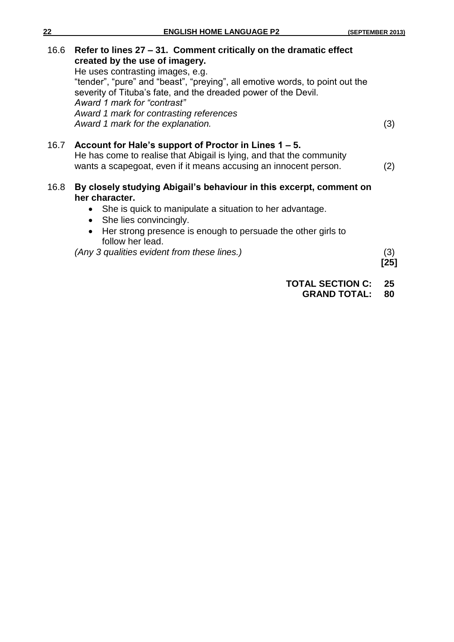| 22   | <b>ENGLISH HOME LANGUAGE P2</b>                                                                                                                                                                                                                                                                                                                                     | (SEPTEMBER 2013) |
|------|---------------------------------------------------------------------------------------------------------------------------------------------------------------------------------------------------------------------------------------------------------------------------------------------------------------------------------------------------------------------|------------------|
| 16.6 | Refer to lines 27 – 31. Comment critically on the dramatic effect<br>created by the use of imagery.<br>He uses contrasting images, e.g.<br>"tender", "pure" and "beast", "preying", all emotive words, to point out the<br>severity of Tituba's fate, and the dreaded power of the Devil.<br>Award 1 mark for "contrast"<br>Award 1 mark for contrasting references |                  |
|      | Award 1 mark for the explanation.                                                                                                                                                                                                                                                                                                                                   | (3)              |
| 16.7 | Account for Hale's support of Proctor in Lines 1 – 5.<br>He has come to realise that Abigail is lying, and that the community<br>wants a scapegoat, even if it means accusing an innocent person.                                                                                                                                                                   | (2)              |
| 16.8 | By closely studying Abigail's behaviour in this excerpt, comment on<br>her character.<br>She is quick to manipulate a situation to her advantage.<br>$\bullet$<br>She lies convincingly.<br>$\bullet$<br>Her strong presence is enough to persuade the other girls to<br>follow her lead.<br>(Any 3 qualities evident from these lines.)                            | (3)<br>[25]      |

# **TOTAL SECTION C: 25**

**GRAND TOTAL: 80**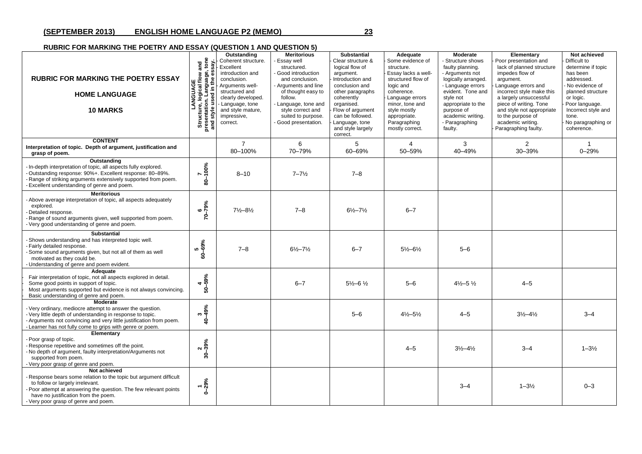#### **(SEPTEMBER 2013) ENGLISH HOME LANGUAGE P2 (MEMO) 23**

#### **RUBRIC FOR MARKING THE POETRY AND ESSAY (QUESTION 1 AND QUESTION 5)**

| <b>RUBRIC FOR MARKING THE POETRY ESSAY</b><br><b>HOME LANGUAGE</b><br><b>10 MARKS</b>                                                                                                                                                                                          | LANGUAGE<br>Structure, logical flow and<br>presentation. Language, tone<br>and style used in the essay. | Outstanding<br>Coherent structure.<br>Excellent<br>introduction and<br>conclusion.<br>Arguments well-<br>structured and<br>clearly developed.<br>Language, tone<br>and style mature.<br>impressive,<br>correct. | <b>Meritorious</b><br>- Essay well<br>structured.<br>- Good introduction<br>and conclusion.<br>- Arguments and line<br>of thought easy to<br>follow.<br>- Language, tone and<br>style correct and<br>suited to purpose.<br>- Good presentation. | <b>Substantial</b><br>Clear structure &<br>logical flow of<br>argument.<br>Introduction and<br>conclusion and<br>other paragraphs<br>coherently<br>organised.<br>Flow of argument<br>can be followed.<br>Language, tone<br>and style largely<br>correct. | Adequate<br>Some evidence of<br>structure.<br>Essay lacks a well-<br>structured flow of<br>logic and<br>coherence.<br>Language errors<br>minor, tone and<br>style mostly<br>appropriate.<br>Paragraphing<br>mostly correct. | Moderate<br>Structure shows<br>faulty planning.<br>- Arguments not<br>logically arranged.<br>- Language errors<br>evident. Tone and<br>style not<br>appropriate to the<br>purpose of<br>academic writing.<br>- Paragraphing<br>faulty. | Elementary<br>Poor presentation and<br>lack of planned structure<br>impedes flow of<br>argument.<br>Language errors and<br>incorrect style make this<br>a largely unsuccessful<br>piece of writing. Tone<br>and style not appropriate<br>to the purpose of<br>academic writing.<br>Paragraphing faulty. | Not achieved<br>Difficult to<br>determine if topic<br>has been<br>addressed.<br>No evidence of<br>planned structure<br>or logic.<br>Poor language.<br>Incorrect style and<br>tone.<br>No paragraphing or<br>coherence. |
|--------------------------------------------------------------------------------------------------------------------------------------------------------------------------------------------------------------------------------------------------------------------------------|---------------------------------------------------------------------------------------------------------|-----------------------------------------------------------------------------------------------------------------------------------------------------------------------------------------------------------------|-------------------------------------------------------------------------------------------------------------------------------------------------------------------------------------------------------------------------------------------------|----------------------------------------------------------------------------------------------------------------------------------------------------------------------------------------------------------------------------------------------------------|-----------------------------------------------------------------------------------------------------------------------------------------------------------------------------------------------------------------------------|----------------------------------------------------------------------------------------------------------------------------------------------------------------------------------------------------------------------------------------|---------------------------------------------------------------------------------------------------------------------------------------------------------------------------------------------------------------------------------------------------------------------------------------------------------|------------------------------------------------------------------------------------------------------------------------------------------------------------------------------------------------------------------------|
| <b>CONTENT</b><br>Interpretation of topic. Depth of argument, justification and<br>grasp of poem.                                                                                                                                                                              |                                                                                                         | $\overline{7}$<br>80-100%                                                                                                                                                                                       | 6<br>70-79%                                                                                                                                                                                                                                     | 5<br>60-69%                                                                                                                                                                                                                                              | 4<br>50-59%                                                                                                                                                                                                                 | 3<br>40-49%                                                                                                                                                                                                                            | 2<br>30-39%                                                                                                                                                                                                                                                                                             | $0 - 29%$                                                                                                                                                                                                              |
| Outstanding<br>In-depth interpretation of topic, all aspects fully explored.<br>Outstanding response: 90%+. Excellent response: 80-89%.<br>- Range of striking arguments extensively supported from poem.<br>Excellent understanding of genre and poem.                        | 7<br>80-100%                                                                                            | $8 - 10$                                                                                                                                                                                                        | $7 - 7\frac{1}{2}$                                                                                                                                                                                                                              | $7 - 8$                                                                                                                                                                                                                                                  |                                                                                                                                                                                                                             |                                                                                                                                                                                                                                        |                                                                                                                                                                                                                                                                                                         |                                                                                                                                                                                                                        |
| <b>Meritorious</b><br>- Above average interpretation of topic, all aspects adequately<br>explored.<br>Detailed response.<br>- Range of sound arguments given, well supported from poem.<br>- Very good understanding of genre and poem.                                        | $70 - 79%$                                                                                              | $7\frac{1}{2}-8\frac{1}{2}$                                                                                                                                                                                     | $7 - 8$                                                                                                                                                                                                                                         | $6\frac{1}{2} - 7\frac{1}{2}$                                                                                                                                                                                                                            | $6 - 7$                                                                                                                                                                                                                     |                                                                                                                                                                                                                                        |                                                                                                                                                                                                                                                                                                         |                                                                                                                                                                                                                        |
| <b>Substantial</b><br>-Shows understanding and has interpreted topic well.<br>- Fairly detailed response.<br>Some sound arguments given, but not all of them as well<br>motivated as they could be.<br>- Understanding of genre and poem evident.                              | 5<br>60–69%                                                                                             | $7 - 8$                                                                                                                                                                                                         | $6\frac{1}{2} - 7\frac{1}{2}$                                                                                                                                                                                                                   | $6 - 7$                                                                                                                                                                                                                                                  | $5\frac{1}{2} - 6\frac{1}{2}$                                                                                                                                                                                               | $5 - 6$                                                                                                                                                                                                                                |                                                                                                                                                                                                                                                                                                         |                                                                                                                                                                                                                        |
| Adequate<br>Fair interpretation of topic, not all aspects explored in detail.<br>Some good points in support of topic.<br>Most arguments supported but evidence is not always convincing.<br>Basic understanding of genre and poem.                                            | $4\n50 - 59%$                                                                                           |                                                                                                                                                                                                                 | $6 - 7$                                                                                                                                                                                                                                         | $5\frac{1}{2} - 6\frac{1}{2}$                                                                                                                                                                                                                            | $5 - 6$                                                                                                                                                                                                                     | $4\frac{1}{2} - 5\frac{1}{2}$                                                                                                                                                                                                          | $4 - 5$                                                                                                                                                                                                                                                                                                 |                                                                                                                                                                                                                        |
| <b>Moderate</b><br>- Very ordinary, mediocre attempt to answer the question.<br>- Very little depth of understanding in response to topic.<br>- Arguments not convincing and very little justification from poem.<br>- Learner has not fully come to grips with genre or poem. | $340 - 49%$                                                                                             |                                                                                                                                                                                                                 |                                                                                                                                                                                                                                                 | $5 - 6$                                                                                                                                                                                                                                                  | $4\frac{1}{2} - 5\frac{1}{2}$                                                                                                                                                                                               | $4 - 5$                                                                                                                                                                                                                                | $3\frac{1}{2} - 4\frac{1}{2}$                                                                                                                                                                                                                                                                           | $3 - 4$                                                                                                                                                                                                                |
| Elementary<br>- Poor grasp of topic.<br>- Response repetitive and sometimes off the point.<br>- No depth of argument, faulty interpretation/Arguments not<br>supported from poem.<br>- Very poor grasp of genre and poem.                                                      | $30 - 39\%$                                                                                             |                                                                                                                                                                                                                 |                                                                                                                                                                                                                                                 |                                                                                                                                                                                                                                                          | $4 - 5$                                                                                                                                                                                                                     | $3\frac{1}{2} - 4\frac{1}{2}$                                                                                                                                                                                                          | $3 - 4$                                                                                                                                                                                                                                                                                                 | $1 - 3\frac{1}{2}$                                                                                                                                                                                                     |
| Not achieved<br>Response bears some relation to the topic but argument difficult<br>to follow or largely irrelevant.<br>- Poor attempt at answering the question. The few relevant points<br>have no justification from the poem.<br>- Very poor grasp of genre and poem.      | $-29%$                                                                                                  |                                                                                                                                                                                                                 |                                                                                                                                                                                                                                                 |                                                                                                                                                                                                                                                          |                                                                                                                                                                                                                             | $3 - 4$                                                                                                                                                                                                                                | $1 - 3\frac{1}{2}$                                                                                                                                                                                                                                                                                      | $0 - 3$                                                                                                                                                                                                                |